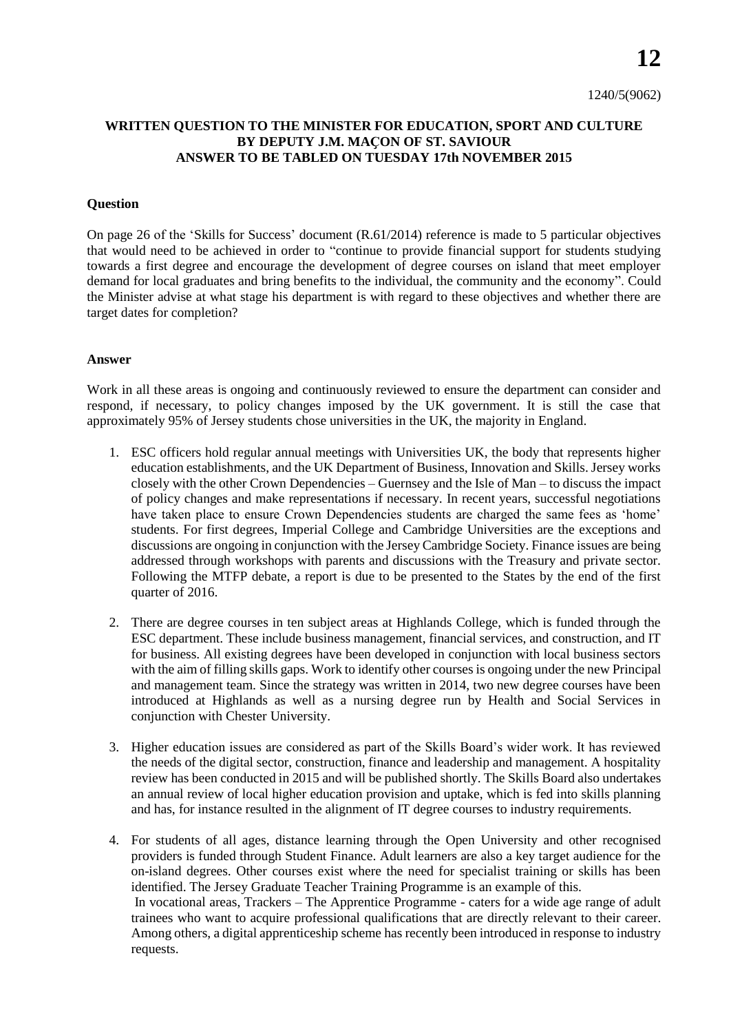**12**

## **WRITTEN QUESTION TO THE MINISTER FOR EDUCATION, SPORT AND CULTURE BY DEPUTY J.M. MAҪON OF ST. SAVIOUR ANSWER TO BE TABLED ON TUESDAY 17th NOVEMBER 2015**

## **Question**

On page 26 of the 'Skills for Success' document (R.61/2014) reference is made to 5 particular objectives that would need to be achieved in order to "continue to provide financial support for students studying towards a first degree and encourage the development of degree courses on island that meet employer demand for local graduates and bring benefits to the individual, the community and the economy". Could the Minister advise at what stage his department is with regard to these objectives and whether there are target dates for completion?

## **Answer**

Work in all these areas is ongoing and continuously reviewed to ensure the department can consider and respond, if necessary, to policy changes imposed by the UK government. It is still the case that approximately 95% of Jersey students chose universities in the UK, the majority in England.

- 1. ESC officers hold regular annual meetings with Universities UK, the body that represents higher education establishments, and the UK Department of Business, Innovation and Skills. Jersey works closely with the other Crown Dependencies – Guernsey and the Isle of Man – to discuss the impact of policy changes and make representations if necessary. In recent years, successful negotiations have taken place to ensure Crown Dependencies students are charged the same fees as 'home' students. For first degrees, Imperial College and Cambridge Universities are the exceptions and discussions are ongoing in conjunction with the Jersey Cambridge Society. Finance issues are being addressed through workshops with parents and discussions with the Treasury and private sector. Following the MTFP debate, a report is due to be presented to the States by the end of the first quarter of 2016.
- 2. There are degree courses in ten subject areas at Highlands College, which is funded through the ESC department. These include business management, financial services, and construction, and IT for business. All existing degrees have been developed in conjunction with local business sectors with the aim of filling skills gaps. Work to identify other courses is ongoing under the new Principal and management team. Since the strategy was written in 2014, two new degree courses have been introduced at Highlands as well as a nursing degree run by Health and Social Services in conjunction with Chester University.
- 3. Higher education issues are considered as part of the Skills Board's wider work. It has reviewed the needs of the digital sector, construction, finance and leadership and management. A hospitality review has been conducted in 2015 and will be published shortly. The Skills Board also undertakes an annual review of local higher education provision and uptake, which is fed into skills planning and has, for instance resulted in the alignment of IT degree courses to industry requirements.
- 4. For students of all ages, distance learning through the Open University and other recognised providers is funded through Student Finance. Adult learners are also a key target audience for the on-island degrees. Other courses exist where the need for specialist training or skills has been identified. The Jersey Graduate Teacher Training Programme is an example of this. In vocational areas, Trackers – The Apprentice Programme - caters for a wide age range of adult trainees who want to acquire professional qualifications that are directly relevant to their career. Among others, a digital apprenticeship scheme has recently been introduced in response to industry requests.